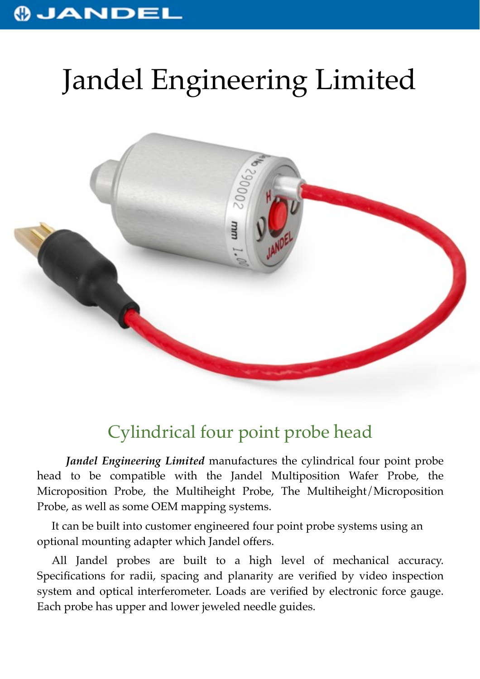## JANDEL

# Jandel Engineering Limited



## Cylindrical four point probe head

*Jandel Engineering Limited* manufactures the cylindrical four point probe head to be compatible with the Jandel Multiposition Wafer Probe, the Microposition Probe, the Multiheight Probe, The Multiheight/Microposition Probe, as well as some OEM mapping systems.

It can be built into customer engineered four point probe systems using an optional mounting adapter which Jandel offers.

All Jandel probes are built to a high level of mechanical accuracy. Specifications for radii, spacing and planarity are verified by video inspection system and optical interferometer. Loads are verified by electronic force gauge. Each probe has upper and lower jeweled needle guides.